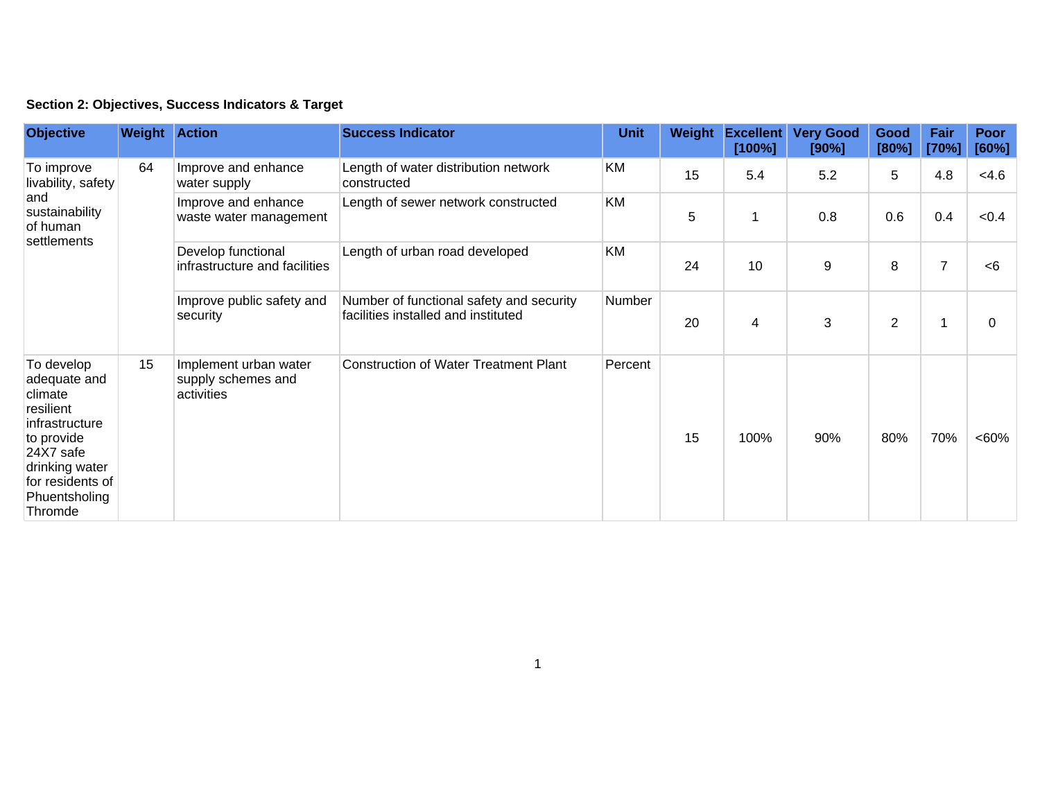| <b>Objective</b>                                                                                                                                                  | <b>Weight Action</b> |                                                           | <b>Success Indicator</b>                                                        | <b>Unit</b> |    | Weight Excellent<br>[100%] | <b>Very Good</b><br>[90%] | Good<br>[80%]  | Fair<br>[70%]  | Poor<br>[60%] |
|-------------------------------------------------------------------------------------------------------------------------------------------------------------------|----------------------|-----------------------------------------------------------|---------------------------------------------------------------------------------|-------------|----|----------------------------|---------------------------|----------------|----------------|---------------|
| To improve<br>livability, safety<br>and<br>sustainability<br>of human<br>settlements                                                                              | 64                   | Improve and enhance<br>water supply                       | Length of water distribution network<br>constructed                             | KM          | 15 | 5.4                        | 5.2                       | 5              | 4.8            | <4.6          |
|                                                                                                                                                                   |                      | Improve and enhance<br>waste water management             | Length of sewer network constructed                                             | KM          | 5  | 1                          | 0.8                       | 0.6            | 0.4            | < 0.4         |
|                                                                                                                                                                   |                      | Develop functional<br>infrastructure and facilities       | Length of urban road developed                                                  | KM          | 24 | 10                         | 9                         | 8              | $\overline{7}$ | < 6           |
|                                                                                                                                                                   |                      | Improve public safety and<br>security                     | Number of functional safety and security<br>facilities installed and instituted | Number      | 20 | 4                          | 3                         | $\overline{2}$ |                | 0             |
| To develop<br>adequate and<br>climate<br>resilient<br>infrastructure<br>to provide<br>24X7 safe<br>drinking water<br>for residents of<br>Phuentsholing<br>Thromde | 15                   | Implement urban water<br>supply schemes and<br>activities | <b>Construction of Water Treatment Plant</b>                                    | Percent     | 15 | 100%                       | 90%                       | 80%            | 70%            | <60%          |

## **Section 2: Objectives, Success Indicators & Target**